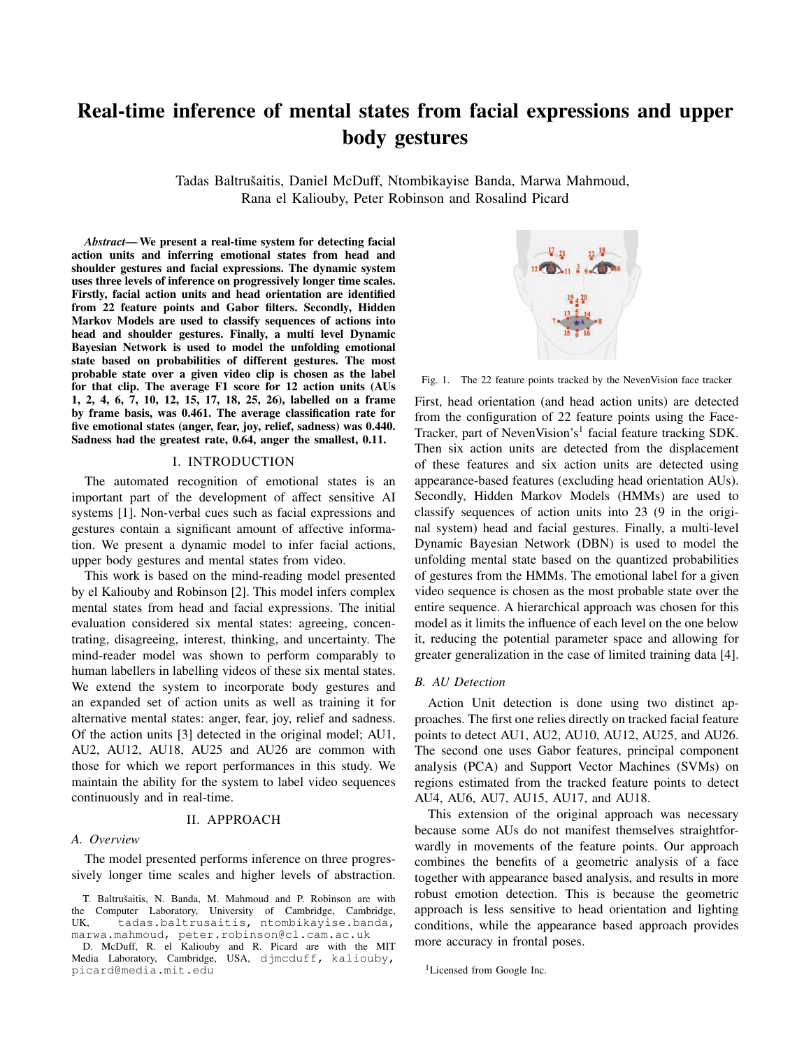# Real-time inference of mental states from facial expressions and upper body gestures

Tadas Baltrušaitis, Daniel McDuff, Ntombikayise Banda, Marwa Mahmoud, Rana el Kaliouby, Peter Robinson and Rosalind Picard

*Abstract*— We present a real-time system for detecting facial action units and inferring emotional states from head and shoulder gestures and facial expressions. The dynamic system uses three levels of inference on progressively longer time scales. Firstly, facial action units and head orientation are identified from 22 feature points and Gabor filters. Secondly, Hidden Markov Models are used to classify sequences of actions into head and shoulder gestures. Finally, a multi level Dynamic Bayesian Network is used to model the unfolding emotional state based on probabilities of different gestures. The most probable state over a given video clip is chosen as the label for that clip. The average F1 score for 12 action units (AUs 1, 2, 4, 6, 7, 10, 12, 15, 17, 18, 25, 26), labelled on a frame by frame basis, was 0.461. The average classification rate for five emotional states (anger, fear, joy, relief, sadness) was 0.440. Sadness had the greatest rate, 0.64, anger the smallest, 0.11.

## I. INTRODUCTION

The automated recognition of emotional states is an important part of the development of affect sensitive AI systems [1]. Non-verbal cues such as facial expressions and gestures contain a significant amount of affective information. We present a dynamic model to infer facial actions, upper body gestures and mental states from video.

This work is based on the mind-reading model presented by el Kaliouby and Robinson [2]. This model infers complex mental states from head and facial expressions. The initial evaluation considered six mental states: agreeing, concentrating, disagreeing, interest, thinking, and uncertainty. The mind-reader model was shown to perform comparably to human labellers in labelling videos of these six mental states. We extend the system to incorporate body gestures and an expanded set of action units as well as training it for alternative mental states: anger, fear, joy, relief and sadness. Of the action units [3] detected in the original model; AU1, AU2, AU12, AU18, AU25 and AU26 are common with those for which we report performances in this study. We maintain the ability for the system to label video sequences continuously and in real-time.

## II. APPROACH

### *A. Overview*

The model presented performs inference on three progressively longer time scales and higher levels of abstraction.



Fig. 1. The 22 feature points tracked by the NevenVision face tracker

First, head orientation (and head action units) are detected from the configuration of 22 feature points using the Face-Tracker, part of NevenVision's<sup>1</sup> facial feature tracking SDK. Then six action units are detected from the displacement of these features and six action units are detected using appearance-based features (excluding head orientation AUs). Secondly, Hidden Markov Models (HMMs) are used to classify sequences of action units into 23 (9 in the original system) head and facial gestures. Finally, a multi-level Dynamic Bayesian Network (DBN) is used to model the unfolding mental state based on the quantized probabilities of gestures from the HMMs. The emotional label for a given video sequence is chosen as the most probable state over the entire sequence. A hierarchical approach was chosen for this model as it limits the influence of each level on the one below it, reducing the potential parameter space and allowing for greater generalization in the case of limited training data [4].

## *B. AU Detection*

Action Unit detection is done using two distinct approaches. The first one relies directly on tracked facial feature points to detect AU1, AU2, AU10, AU12, AU25, and AU26. The second one uses Gabor features, principal component analysis (PCA) and Support Vector Machines (SVMs) on regions estimated from the tracked feature points to detect AU4, AU6, AU7, AU15, AU17, and AU18.

This extension of the original approach was necessary because some AUs do not manifest themselves straightforwardly in movements of the feature points. Our approach combines the benefits of a geometric analysis of a face together with appearance based analysis, and results in more robust emotion detection. This is because the geometric approach is less sensitive to head orientation and lighting conditions, while the appearance based approach provides more accuracy in frontal poses.

T. Baltrušaitis, N. Banda, M. Mahmoud and P. Robinson are with the Computer Laboratory, University of Cambridge, Cambridge, UK, tadas.baltrusaitis, ntombikayise.banda, tadas.baltrusaitis, ntombikayise.banda, marwa.mahmoud, peter.robinson@cl.cam.ac.uk

D. McDuff, R. el Kaliouby and R. Picard are with the MIT Media Laboratory, Cambridge, USA, djmcduff, kaliouby, picard@media.mit.edu

<sup>&</sup>lt;sup>1</sup>Licensed from Google Inc.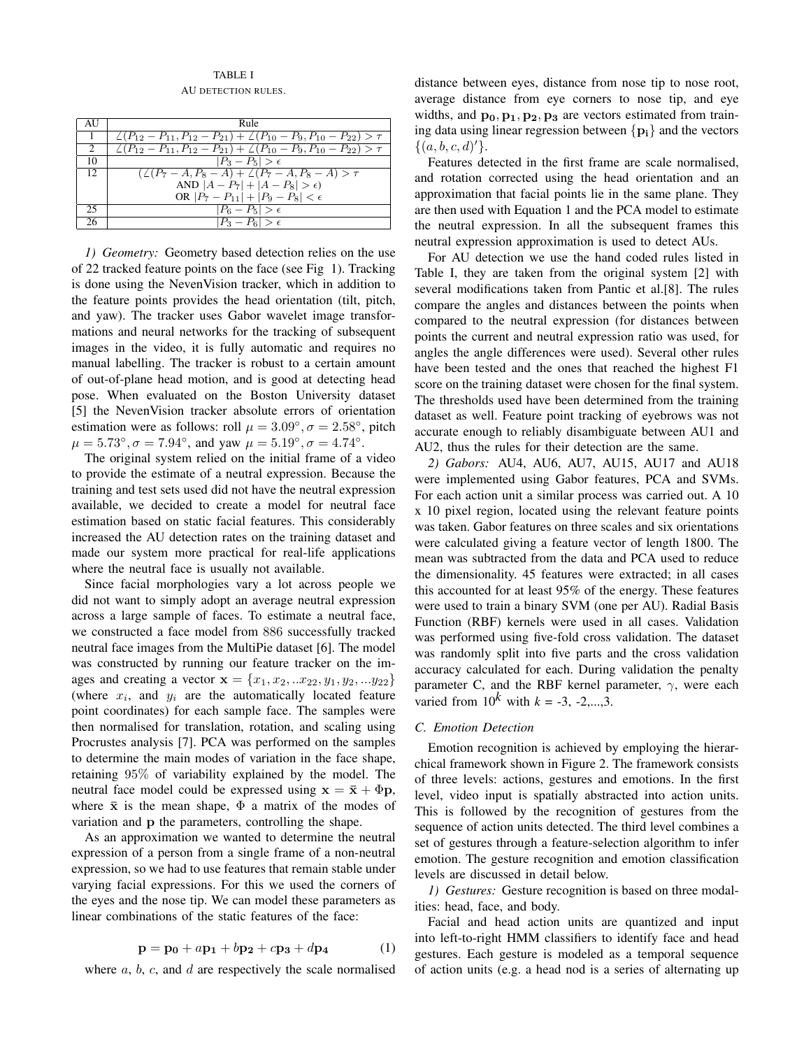## TABLE I

AU DETECTION RULES.

| AU | Rule                                                                                          |
|----|-----------------------------------------------------------------------------------------------|
|    | $\angle (P_{12} - P_{11}, P_{12} - P_{21}) + \angle (P_{10} - P_{9}, P_{10} - P_{22}) > \tau$ |
|    | $\angle (P_{12} - P_{11}, P_{12} - P_{21}) + \angle (P_{10} - P_{9}, P_{10} - P_{22}) > \tau$ |
| 10 | $ P_3 - P_5  > \epsilon$                                                                      |
| 12 | $(\angle (P_7 - A, P_8 - A) + \angle (P_7 - A, P_8 - A) > \tau$                               |
|    | AND $ A - P_7  +  A - P_8  > \epsilon$                                                        |
|    | OR $ P_7 - P_{11}  +  P_9 - P_8  < \epsilon$                                                  |
| 25 | $ P_6 - P_5  > \epsilon$                                                                      |
| 26 | $ P_3 - P_6  > \epsilon$                                                                      |

*1) Geometry:* Geometry based detection relies on the use of 22 tracked feature points on the face (see Fig 1). Tracking is done using the NevenVision tracker, which in addition to the feature points provides the head orientation (tilt, pitch, and yaw). The tracker uses Gabor wavelet image transformations and neural networks for the tracking of subsequent images in the video, it is fully automatic and requires no manual labelling. The tracker is robust to a certain amount of out-of-plane head motion, and is good at detecting head pose. When evaluated on the Boston University dataset [5] the NevenVision tracker absolute errors of orientation estimation were as follows: roll  $\mu = 3.09^{\circ}, \sigma = 2.58^{\circ}$ , pitch  $\mu = 5.73^{\circ}, \sigma = 7.94^{\circ}$ , and yaw  $\mu = 5.19^{\circ}, \sigma = 4.74^{\circ}$ .

The original system relied on the initial frame of a video to provide the estimate of a neutral expression. Because the training and test sets used did not have the neutral expression available, we decided to create a model for neutral face estimation based on static facial features. This considerably increased the AU detection rates on the training dataset and made our system more practical for real-life applications where the neutral face is usually not available.

Since facial morphologies vary a lot across people we did not want to simply adopt an average neutral expression across a large sample of faces. To estimate a neutral face, we constructed a face model from 886 successfully tracked neutral face images from the MultiPie dataset [6]. The model was constructed by running our feature tracker on the images and creating a vector  $\mathbf{x} = \{x_1, x_2, ... x_{22}, y_1, y_2, ... y_{22}\}\$ (where  $x_i$ , and  $y_i$  are the automatically located feature point coordinates) for each sample face. The samples were then normalised for translation, rotation, and scaling using Procrustes analysis [7]. PCA was performed on the samples to determine the main modes of variation in the face shape, retaining 95% of variability explained by the model. The neutral face model could be expressed using  $x = \bar{x} + \Phi p$ , where  $\bar{x}$  is the mean shape,  $\Phi$  a matrix of the modes of variation and p the parameters, controlling the shape.

As an approximation we wanted to determine the neutral expression of a person from a single frame of a non-neutral expression, so we had to use features that remain stable under varying facial expressions. For this we used the corners of the eyes and the nose tip. We can model these parameters as linear combinations of the static features of the face:

$$
p = p_0 + ap_1 + bp_2 + cp_3 + dp_4 \tag{1}
$$

where  $a, b, c$ , and  $d$  are respectively the scale normalised

distance between eyes, distance from nose tip to nose root, average distance from eye corners to nose tip, and eye widths, and  $p_0, p_1, p_2, p_3$  are vectors estimated from training data using linear regression between  $\{p_i\}$  and the vectors  $\{(a, b, c, d)'\}.$ 

Features detected in the first frame are scale normalised, and rotation corrected using the head orientation and an approximation that facial points lie in the same plane. They are then used with Equation 1 and the PCA model to estimate the neutral expression. In all the subsequent frames this neutral expression approximation is used to detect AUs.

For AU detection we use the hand coded rules listed in Table I, they are taken from the original system [2] with several modifications taken from Pantic et al.[8]. The rules compare the angles and distances between the points when compared to the neutral expression (for distances between points the current and neutral expression ratio was used, for angles the angle differences were used). Several other rules have been tested and the ones that reached the highest F1 score on the training dataset were chosen for the final system. The thresholds used have been determined from the training dataset as well. Feature point tracking of eyebrows was not accurate enough to reliably disambiguate between AU1 and AU2, thus the rules for their detection are the same.

*2) Gabors:* AU4, AU6, AU7, AU15, AU17 and AU18 were implemented using Gabor features, PCA and SVMs. For each action unit a similar process was carried out. A 10 x 10 pixel region, located using the relevant feature points was taken. Gabor features on three scales and six orientations were calculated giving a feature vector of length 1800. The mean was subtracted from the data and PCA used to reduce the dimensionality. 45 features were extracted; in all cases this accounted for at least 95% of the energy. These features were used to train a binary SVM (one per AU). Radial Basis Function (RBF) kernels were used in all cases. Validation was performed using five-fold cross validation. The dataset was randomly split into five parts and the cross validation accuracy calculated for each. During validation the penalty parameter C, and the RBF kernel parameter,  $\gamma$ , were each varied from  $10^k$  with  $k = -3, -2,...,3$ .

## *C. Emotion Detection*

Emotion recognition is achieved by employing the hierarchical framework shown in Figure 2. The framework consists of three levels: actions, gestures and emotions. In the first level, video input is spatially abstracted into action units. This is followed by the recognition of gestures from the sequence of action units detected. The third level combines a set of gestures through a feature-selection algorithm to infer emotion. The gesture recognition and emotion classification levels are discussed in detail below.

*1) Gestures:* Gesture recognition is based on three modalities: head, face, and body.

Facial and head action units are quantized and input into left-to-right HMM classifiers to identify face and head gestures. Each gesture is modeled as a temporal sequence of action units (e.g. a head nod is a series of alternating up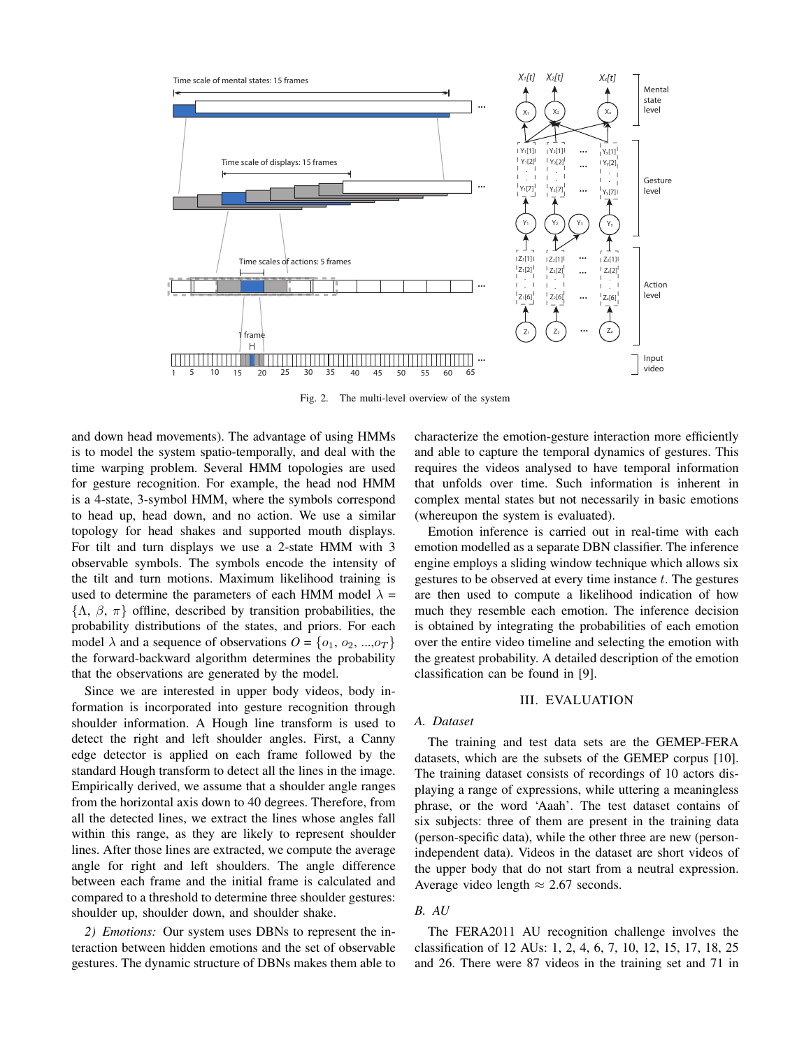

Fig. 2. The multi-level overview of the system

and down head movements). The advantage of using HMMs is to model the system spatio-temporally, and deal with the time warping problem. Several HMM topologies are used for gesture recognition. For example, the head nod HMM is a 4-state, 3-symbol HMM, where the symbols correspond to head up, head down, and no action. We use a similar topology for head shakes and supported mouth displays. For tilt and turn displays we use a 2-state HMM with 3 observable symbols. The symbols encode the intensity of the tilt and turn motions. Maximum likelihood training is used to determine the parameters of each HMM model  $\lambda$  =  $\{\Lambda, \beta, \pi\}$  offline, described by transition probabilities, the probability distributions of the states, and priors. For each model  $\lambda$  and a sequence of observations  $O = \{o_1, o_2, ..., o_T\}$ the forward-backward algorithm determines the probability that the observations are generated by the model.

Since we are interested in upper body videos, body information is incorporated into gesture recognition through shoulder information. A Hough line transform is used to detect the right and left shoulder angles. First, a Canny edge detector is applied on each frame followed by the standard Hough transform to detect all the lines in the image. Empirically derived, we assume that a shoulder angle ranges from the horizontal axis down to 40 degrees. Therefore, from all the detected lines, we extract the lines whose angles fall within this range, as they are likely to represent shoulder lines. After those lines are extracted, we compute the average angle for right and left shoulders. The angle difference between each frame and the initial frame is calculated and compared to a threshold to determine three shoulder gestures: shoulder up, shoulder down, and shoulder shake.

*2) Emotions:* Our system uses DBNs to represent the interaction between hidden emotions and the set of observable gestures. The dynamic structure of DBNs makes them able to characterize the emotion-gesture interaction more efficiently and able to capture the temporal dynamics of gestures. This requires the videos analysed to have temporal information that unfolds over time. Such information is inherent in complex mental states but not necessarily in basic emotions (whereupon the system is evaluated).

Emotion inference is carried out in real-time with each emotion modelled as a separate DBN classifier. The inference engine employs a sliding window technique which allows six gestures to be observed at every time instance  $t$ . The gestures are then used to compute a likelihood indication of how much they resemble each emotion. The inference decision is obtained by integrating the probabilities of each emotion over the entire video timeline and selecting the emotion with the greatest probability. A detailed description of the emotion classification can be found in [9].

#### III. EVALUATION

# *A. Dataset*

The training and test data sets are the GEMEP-FERA datasets, which are the subsets of the GEMEP corpus [10]. The training dataset consists of recordings of 10 actors displaying a range of expressions, while uttering a meaningless phrase, or the word 'Aaah'. The test dataset contains of six subjects: three of them are present in the training data (person-specific data), while the other three are new (personindependent data). Videos in the dataset are short videos of the upper body that do not start from a neutral expression. Average video length  $\approx 2.67$  seconds.

## *B. AU*

The FERA2011 AU recognition challenge involves the classification of 12 AUs: 1, 2, 4, 6, 7, 10, 12, 15, 17, 18, 25 and 26. There were 87 videos in the training set and 71 in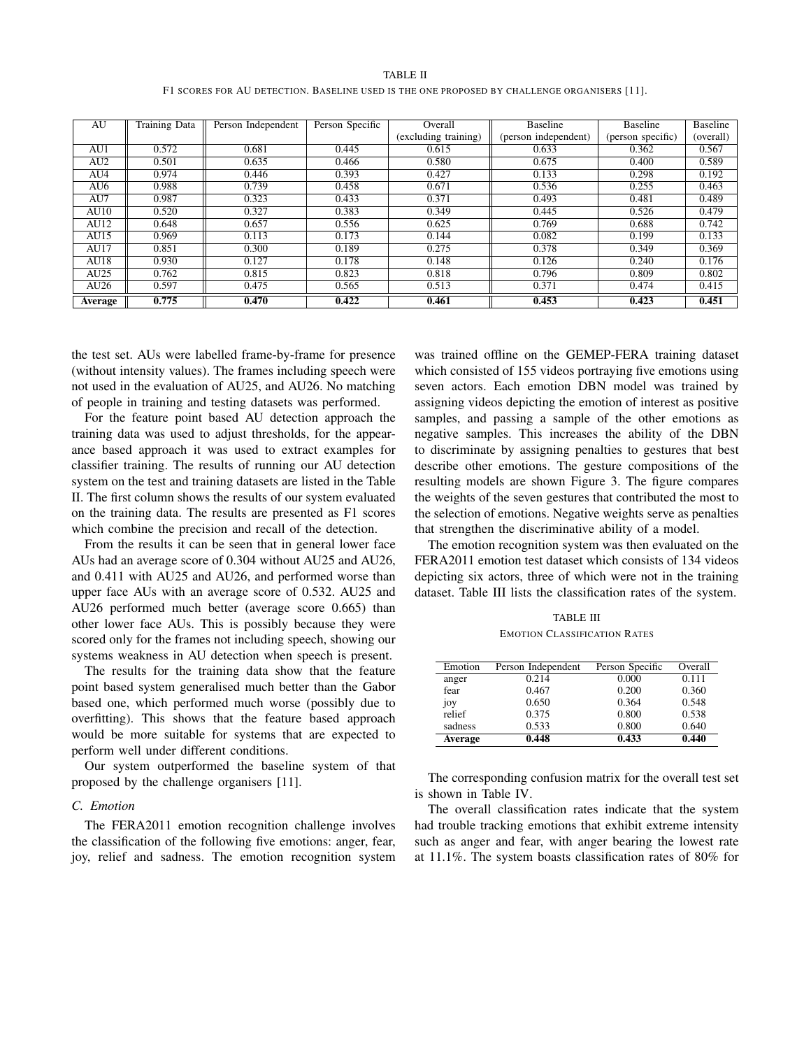#### TABLE II

#### F1 SCORES FOR AU DETECTION. BASELINE USED IS THE ONE PROPOSED BY CHALLENGE ORGANISERS [11].

| AU              | Training Data | Person Independent | Person Specific | Overall              | <b>Baseline</b>      | <b>Baseline</b>   | <b>Baseline</b> |
|-----------------|---------------|--------------------|-----------------|----------------------|----------------------|-------------------|-----------------|
|                 |               |                    |                 | (excluding training) | (person independent) | (person specific) | (overall)       |
| AU1             | 0.572         | 0.681              | 0.445           | 0.615                | 0.633                | 0.362             | 0.567           |
| AU <sub>2</sub> | 0.501         | 0.635              | 0.466           | 0.580                | 0.675                | 0.400             | 0.589           |
| AU4             | 0.974         | 0.446              | 0.393           | 0.427                | 0.133                | 0.298             | 0.192           |
| AU <sub>6</sub> | 0.988         | 0.739              | 0.458           | 0.671                | 0.536                | 0.255             | 0.463           |
| AU7             | 0.987         | 0.323              | 0.433           | 0.371                | 0.493                | 0.481             | 0.489           |
| AU10            | 0.520         | 0.327              | 0.383           | 0.349                | 0.445                | 0.526             | 0.479           |
| AU12            | 0.648         | 0.657              | 0.556           | 0.625                | 0.769                | 0.688             | 0.742           |
| AU15            | 0.969         | 0.113              | 0.173           | 0.144                | 0.082                | 0.199             | 0.133           |
| AU17            | 0.851         | 0.300              | 0.189           | 0.275                | 0.378                | 0.349             | 0.369           |
| AU18            | 0.930         | 0.127              | 0.178           | 0.148                | 0.126                | 0.240             | 0.176           |
| AU25            | 0.762         | 0.815              | 0.823           | 0.818                | 0.796                | 0.809             | 0.802           |
| AU26            | 0.597         | 0.475              | 0.565           | 0.513                | 0.371                | 0.474             | 0.415           |
| Average         | 0.775         | 0.470              | 0.422           | 0.461                | 0.453                | 0.423             | 0.451           |

the test set. AUs were labelled frame-by-frame for presence (without intensity values). The frames including speech were not used in the evaluation of AU25, and AU26. No matching of people in training and testing datasets was performed.

For the feature point based AU detection approach the training data was used to adjust thresholds, for the appearance based approach it was used to extract examples for classifier training. The results of running our AU detection system on the test and training datasets are listed in the Table II. The first column shows the results of our system evaluated on the training data. The results are presented as F1 scores which combine the precision and recall of the detection.

From the results it can be seen that in general lower face AUs had an average score of 0.304 without AU25 and AU26, and 0.411 with AU25 and AU26, and performed worse than upper face AUs with an average score of 0.532. AU25 and AU26 performed much better (average score 0.665) than other lower face AUs. This is possibly because they were scored only for the frames not including speech, showing our systems weakness in AU detection when speech is present.

The results for the training data show that the feature point based system generalised much better than the Gabor based one, which performed much worse (possibly due to overfitting). This shows that the feature based approach would be more suitable for systems that are expected to perform well under different conditions.

Our system outperformed the baseline system of that proposed by the challenge organisers [11].

### *C. Emotion*

The FERA2011 emotion recognition challenge involves the classification of the following five emotions: anger, fear, joy, relief and sadness. The emotion recognition system was trained offline on the GEMEP-FERA training dataset which consisted of 155 videos portraying five emotions using seven actors. Each emotion DBN model was trained by assigning videos depicting the emotion of interest as positive samples, and passing a sample of the other emotions as negative samples. This increases the ability of the DBN to discriminate by assigning penalties to gestures that best describe other emotions. The gesture compositions of the resulting models are shown Figure 3. The figure compares the weights of the seven gestures that contributed the most to the selection of emotions. Negative weights serve as penalties that strengthen the discriminative ability of a model.

The emotion recognition system was then evaluated on the FERA2011 emotion test dataset which consists of 134 videos depicting six actors, three of which were not in the training dataset. Table III lists the classification rates of the system.

TABLE III EMOTION CLASSIFICATION RATES

| Emotion | Person Independent | Person Specific | Overall |
|---------|--------------------|-----------------|---------|
| anger   | 0.214              | 0.000           | 0.111   |
| fear    | 0.467              | 0.200           | 0.360   |
| joy     | 0.650              | 0.364           | 0.548   |
| relief  | 0.375              | 0.800           | 0.538   |
| sadness | 0.533              | 0.800           | 0.640   |
| Average | 0.448              | 0.433           | 0.440   |

The corresponding confusion matrix for the overall test set is shown in Table IV.

The overall classification rates indicate that the system had trouble tracking emotions that exhibit extreme intensity such as anger and fear, with anger bearing the lowest rate at 11.1%. The system boasts classification rates of 80% for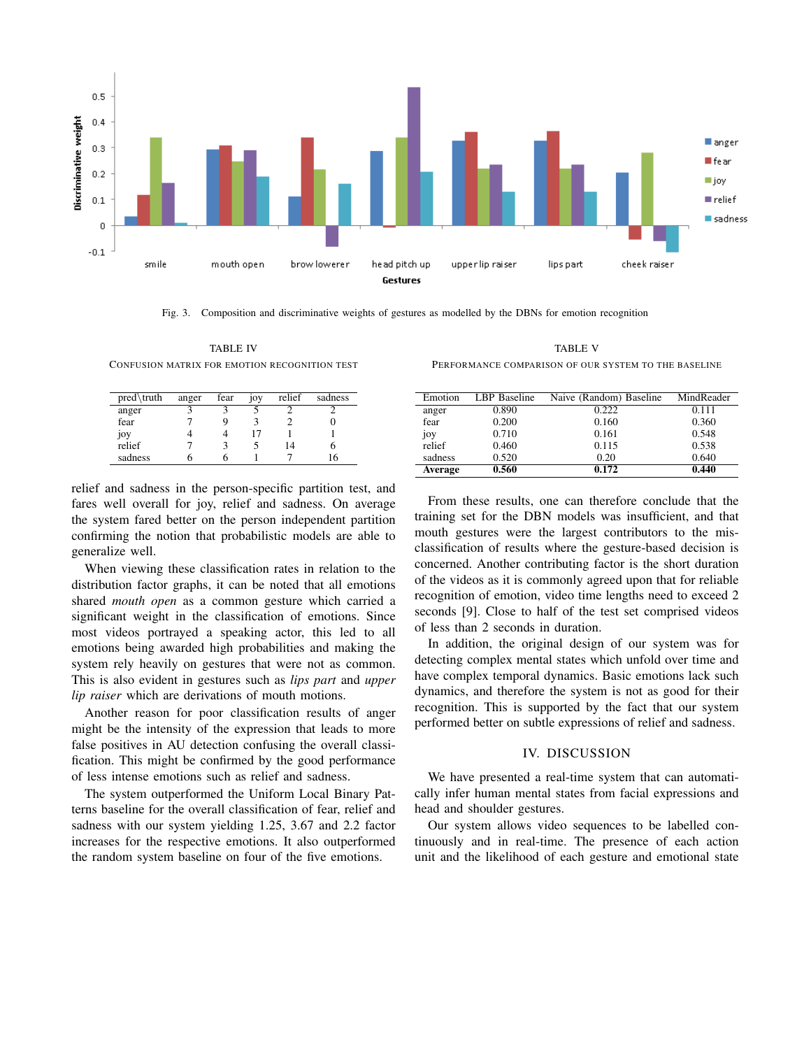

Fig. 3. Composition and discriminative weights of gestures as modelled by the DBNs for emotion recognition

TABLE IV CONFUSION MATRIX FOR EMOTION RECOGNITION TEST

| $pred\$ truth | anger | fear | 10 <sub>V</sub> | relief | sadness |
|---------------|-------|------|-----------------|--------|---------|
| anger         |       |      |                 |        |         |
| fear          |       |      |                 |        |         |
| joy           |       |      | 17              |        |         |
| relief        |       |      |                 | 14     |         |
| sadness       |       |      |                 |        | 6       |

relief and sadness in the person-specific partition test, and fares well overall for joy, relief and sadness. On average the system fared better on the person independent partition confirming the notion that probabilistic models are able to generalize well.

When viewing these classification rates in relation to the distribution factor graphs, it can be noted that all emotions shared *mouth open* as a common gesture which carried a significant weight in the classification of emotions. Since most videos portrayed a speaking actor, this led to all emotions being awarded high probabilities and making the system rely heavily on gestures that were not as common. This is also evident in gestures such as *lips part* and *upper lip raiser* which are derivations of mouth motions.

Another reason for poor classification results of anger might be the intensity of the expression that leads to more false positives in AU detection confusing the overall classification. This might be confirmed by the good performance of less intense emotions such as relief and sadness.

The system outperformed the Uniform Local Binary Patterns baseline for the overall classification of fear, relief and sadness with our system yielding 1.25, 3.67 and 2.2 factor increases for the respective emotions. It also outperformed the random system baseline on four of the five emotions.

TABLE V PERFORMANCE COMPARISON OF OUR SYSTEM TO THE BASELINE

| Emotion | LBP Baseline | Naive (Random) Baseline | MindReader |
|---------|--------------|-------------------------|------------|
| anger   | 0.890        | 0.222                   | 0.111      |
| fear    | 0.200        | 0.160                   | 0.360      |
| joy     | 0.710        | 0.161                   | 0.548      |
| relief  | 0.460        | 0.115                   | 0.538      |
| sadness | 0.520        | 0.20                    | 0.640      |
| Average | 0.560        | 0.172                   | 0.440      |

From these results, one can therefore conclude that the training set for the DBN models was insufficient, and that mouth gestures were the largest contributors to the misclassification of results where the gesture-based decision is concerned. Another contributing factor is the short duration of the videos as it is commonly agreed upon that for reliable recognition of emotion, video time lengths need to exceed 2 seconds [9]. Close to half of the test set comprised videos of less than 2 seconds in duration.

In addition, the original design of our system was for detecting complex mental states which unfold over time and have complex temporal dynamics. Basic emotions lack such dynamics, and therefore the system is not as good for their recognition. This is supported by the fact that our system performed better on subtle expressions of relief and sadness.

## IV. DISCUSSION

We have presented a real-time system that can automatically infer human mental states from facial expressions and head and shoulder gestures.

Our system allows video sequences to be labelled continuously and in real-time. The presence of each action unit and the likelihood of each gesture and emotional state